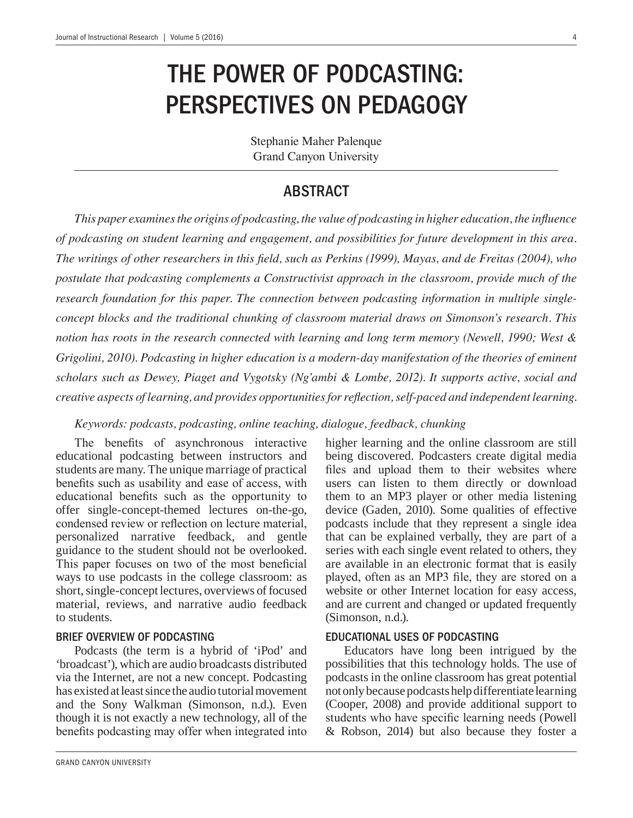# THE POWER OF PODCASTING: PERSPECTIVES ON PEDAGOGY

Stephanie Maher Palenque Grand Canyon University

# ABSTRACT

This paper examines the origins of podcasting, the value of podcasting in higher education, the influence *of podcasting on student learning and engagement, and possibilities for future development in this area.*  The writings of other researchers in this field, such as Perkins (1999), Mayas, and de Freitas (2004), who *postulate that podcasting complements a Constructivist approach in the classroom, provide much of the research foundation for this paper. The connection between podcasting information in multiple single*concept blocks and the traditional chunking of classroom material draws on Simonson's research. This notion has roots in the research connected with learning and long term memory (Newell, 1990; West & Grigolini, 2010). Podcasting in higher education is a modern-day manifestation of the theories of eminent *scholars such as Dewey, Piaget and Vygotsky (Ng'ambi & Lombe, 2012). It supports active, social and FURDER Creative aspects of learning, and provides opportunities for reflection, self-paced and independent learning.* 

Keywords: podcasts, podcasting, online teaching, dialogue, feedback, chunking

The benefits of asynchronous interactive educational podcasting between instructors and students are many. The unique marriage of practical benefits such as usability and ease of access, with educational benefits such as the opportunity to offer single-concept-themed lectures on-the-go, condensed review or reflection on lecture material, personalized narrative feedback, and gentle guidance to the student should not be overlooked. This paper focuses on two of the most beneficial ways to use podcasts in the college classroom: as short, single-concept lectures, overviews of focused material, reviews, and narrative audio feedback to students.

### BRIEF OVERVIEW OF PODCASTING

Podcasts (the term is a hybrid of 'iPod' and 'broadcast'), which are audio broadcasts distributed via the Internet, are not a new concept. Podcasting has existed at least since the audio tutorial movement and the Sony Walkman (Simonson, n.d.). Even though it is not exactly a new technology, all of the benefits podcasting may offer when integrated into

higher learning and the online classroom are still being discovered. Podcasters create digital media files and upload them to their websites where users can listen to them directly or download them to an MP3 player or other media listening device (Gaden, 2010). Some qualities of effective podcasts include that they represent a single idea that can be explained verbally, they are part of a series with each single event related to others, they are available in an electronic format that is easily played, often as an MP3 file, they are stored on a website or other Internet location for easy access, and are current and changed or updated frequently (Simonson, n.d.).

### EDUCATIONAL USES OF PODCASTING

Educators have long been intrigued by the possibilities that this technology holds. The use of podcasts in the online classroom has great potential not only because podcasts help differentiate learning (Cooper, 2008) and provide additional support to students who have specific learning needs (Powell & Robson, 2014) but also because they foster a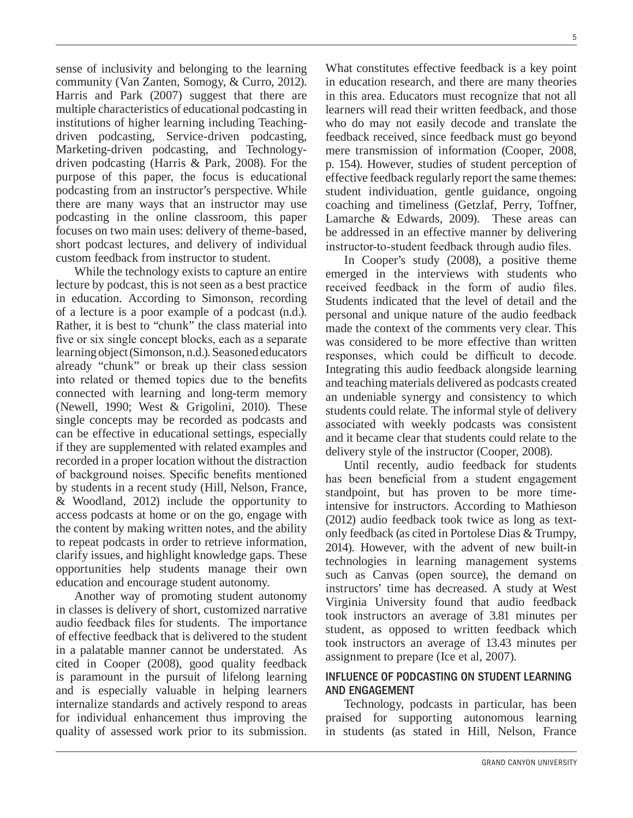sense of inclusivity and belonging to the learning community (Van Zanten, Somogy, & Curro, 2012). Harris and Park (2007) suggest that there are multiple characteristics of educational podcasting in institutions of higher learning including Teachingdriven podcasting, Service-driven podcasting, Marketing-driven podcasting, and Technologydriven podcasting (Harris & Park, 2008). For the purpose of this paper, the focus is educational podcasting from an instructor's perspective. While there are many ways that an instructor may use podcasting in the online classroom, this paper focuses on two main uses: delivery of theme-based, short podcast lectures, and delivery of individual custom feedback from instructor to student.

<u> 1980 - Johann John Stein, marwolaethau (b. 1980)</u>

While the technology exists to capture an entire lecture by podcast, this is not seen as a best practice in education. According to Simonson, recording of a lecture is a poor example of a podcast (n.d.). Rather, it is best to "chunk" the class material into five or six single concept blocks, each as a separate learning object (Simonson, n.d.). Seasoned educators already "chunk" or break up their class session into related or themed topics due to the benefits connected with learning and long-term memory (Newell, 1990; West & Grigolini, 2010). These single concepts may be recorded as podcasts and can be effective in educational settings, especially if they are supplemented with related examples and recorded in a proper location without the distraction of background noises. Specific benefits mentioned by students in a recent study (Hill, Nelson, France, & Woodland, 2012) include the opportunity to access podcasts at home or on the go, engage with the content by making written notes, and the ability to repeat podcasts in order to retrieve information, clarify issues, and highlight knowledge gaps. These opportunities help students manage their own education and encourage student autonomy.

Another way of promoting student autonomy in classes is delivery of short, customized narrative audio feedback files for students. The importance of effective feedback that is delivered to the student in a palatable manner cannot be understated. As cited in Cooper (2008), good quality feedback is paramount in the pursuit of lifelong learning and is especially valuable in helping learners internalize standards and actively respond to areas for individual enhancement thus improving the quality of assessed work prior to its submission.

What constitutes effective feedback is a key point in education research, and there are many theories in this area. Educators must recognize that not all learners will read their written feedback, and those who do may not easily decode and translate the feedback received, since feedback must go beyond mere transmission of information (Cooper, 2008, p. 154). However, studies of student perception of effective feedback regularly report the same themes: student individuation, gentle guidance, ongoing coaching and timeliness (Getzlaf, Perry, Toffner, Lamarche & Edwards, 2009). These areas can be addressed in an effective manner by delivering instructor-to-student feedback through audio files.

In Cooper's study (2008), a positive theme emerged in the interviews with students who received feedback in the form of audio files. Students indicated that the level of detail and the personal and unique nature of the audio feedback made the context of the comments very clear. This was considered to be more effective than written responses, which could be difficult to decode. Integrating this audio feedback alongside learning and teaching materials delivered as podcasts created an undeniable synergy and consistency to which students could relate. The informal style of delivery associated with weekly podcasts was consistent and it became clear that students could relate to the delivery style of the instructor (Cooper, 2008).

Until recently, audio feedback for students has been beneficial from a student engagement standpoint, but has proven to be more timeintensive for instructors. According to Mathieson (2012) audio feedback took twice as long as textonly feedback (as cited in Portolese Dias & Trumpy, 2014). However, with the advent of new built-in technologies in learning management systems such as Canvas (open source), the demand on instructors' time has decreased. A study at West Virginia University found that audio feedback took instructors an average of 3.81 minutes per student, as opposed to written feedback which took instructors an average of 13.43 minutes per assignment to prepare (Ice et al, 2007).

### INFLUENCE OF PODCASTING ON STUDENT LEARNING AND ENGAGEMENT

Technology, podcasts in particular, has been praised for supporting autonomous learning in students (as stated in Hill, Nelson, France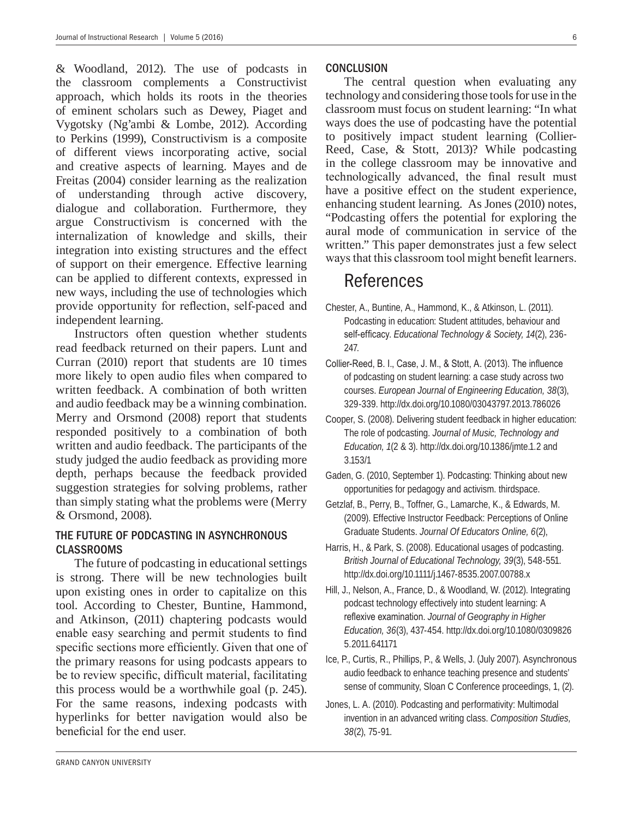& Woodland, 2012). The use of podcasts in the classroom complements a Constructivist approach, which holds its roots in the theories of eminent scholars such as Dewey, Piaget and Vygotsky (Ng'ambi & Lombe, 2012). According to Perkins (1999), Constructivism is a composite of different views incorporating active, social and creative aspects of learning. Mayes and de Freitas (2004) consider learning as the realization of understanding through active discovery, dialogue and collaboration. Furthermore, they argue Constructivism is concerned with the internalization of knowledge and skills, their integration into existing structures and the effect of support on their emergence. Effective learning can be applied to different contexts, expressed in new ways, including the use of technologies which provide opportunity for reflection, self-paced and independent learning.

Instructors often question whether students read feedback returned on their papers. Lunt and Curran (2010) report that students are 10 times more likely to open audio files when compared to written feedback. A combination of both written and audio feedback may be a winning combination. Merry and Orsmond (2008) report that students responded positively to a combination of both written and audio feedback. The participants of the study judged the audio feedback as providing more depth, perhaps because the feedback provided suggestion strategies for solving problems, rather than simply stating what the problems were (Merry & Orsmond, 2008).

#### THE FUTURE OF PODCASTING IN ASYNCHRONOUS CLASSROOMS

The future of podcasting in educational settings is strong. There will be new technologies built upon existing ones in order to capitalize on this tool. According to Chester, Buntine, Hammond, and Atkinson, (2011) chaptering podcasts would enable easy searching and permit students to find specific sections more efficiently. Given that one of the primary reasons for using podcasts appears to be to review specific, difficult material, facilitating this process would be a worthwhile goal (p. 245). For the same reasons, indexing podcasts with hyperlinks for better navigation would also be beneficial for the end user

#### **CONCLUSION**

The central question when evaluating any technology and considering those tools for use in the classroom must focus on student learning: "In what ways does the use of podcasting have the potential to positively impact student learning (Collier-Reed, Case, & Stott, 2013)? While podcasting in the college classroom may be innovative and technologically advanced, the final result must have a positive effect on the student experience, enhancing student learning. As Jones (2010) notes, "Podcasting offers the potential for exploring the aural mode of communication in service of the written." This paper demonstrates just a few select ways that this classroom tool might benefit learners.

# References

- References Chester, A., Buntine, A., Hammond, K., & Atkinson, L. (2011). Podcasting in education: Student attitudes, behaviour and self-efficacy. Educational Technology & Society, 14(2), 236-247.
- Collier-Reed, B. I., Case, J. M., & Stott, A. (2013). The influence of podcasting on student learning: a case study across two courses. *European Journal of Engineering Education, 38*(3), 329-339. http://dx.doi.org/10.1080/03043797.2013.786026
- Cooper, S. (2008). Delivering student feedback in higher education: The role of podcasting. *Journal of Music, Technology and Education, 1*(2 & 3). http://dx.doi.org/10.1386/jmte.1.2 and 3.153/1
- Gaden, G. (2010, September 1). Podcasting: Thinking about new opportunities for pedagogy and activism. thirdspace.
- Getzlaf, B., Perry, B., Toffner, G., Lamarche, K., & Edwards, M. (2009). Effective Instructor Feedback: Perceptions of Online Graduate Students. *Journal Of Educators Online, 6*(2),
- Harris, H., & Park, S. (2008). Educational usages of podcasting. *British Journal of Educational Technology, 39*(3), 548-551. http://dx.doi.org/10.1111/j.1467-8535.2007.00788.x
- Hill, J., Nelson, A., France, D., & Woodland, W. (2012). Integrating podcast technology effectively into student learning: A reflexive examination. Journal of Geography in Higher *Education, 36*(3), 437-454. http://dx.doi.org/10.1080/0309826 5.2011.641171
- Ice, P., Curtis, R., Phillips, P., & Wells, J. (July 2007). Asynchronous audio feedback to enhance teaching presence and students' sense of community, Sloan C Conference proceedings, 1, (2).
- Jones, L. A. (2010). Podcasting and performativity: Multimodal invention in an advanced writing class. *Composition Studies, 38*(2), 75-91.